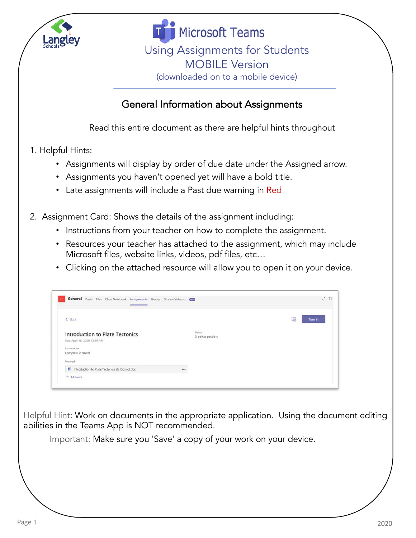

**Microsoft Teams** Using Assignments for Students MOBILE Version (downloaded on to a mobile device)

## General Information about Assignments

Read this entire document as there are helpful hints throughout

- 1. Helpful Hints:
	- Assignments will display by order of due date under the Assigned arrow.
	- Assignments you haven't opened yet will have a bold title.
	- Late assignments will include a Past due warning in Red
- 2. Assignment Card: Shows the details of the assignment including:
	- Instructions from your teacher on how to complete the assignment.
	- Resources your teacher has attached to the assignment, which may include Microsoft files, website links, videos, pdf files, etc…
	- Clicking on the attached resource will allow you to open it on your device.

| General Posts Files Class Notebook Assignments Grades Stream Videos  Com              |                             | $k^2$ $\bullet$ |
|---------------------------------------------------------------------------------------|-----------------------------|-----------------|
| $\leq$ Back                                                                           |                             | ß.<br>Turn in   |
| <b>Introduction to Plate Tectonics</b><br>Due April 16, 2020 12:59 AM<br>Instructions | Points<br>3 points possible |                 |
| Complete in Word<br>My work                                                           |                             |                 |
| htroduction to Plate Tectonics SE (Gizmo) doc<br>$+$ Add work                         | $\cdots$                    |                 |

Helpful Hint: Work on documents in the appropriate application. Using the document editing abilities in the Teams App is NOT recommended.

Important: Make sure you 'Save' a copy of your work on your device.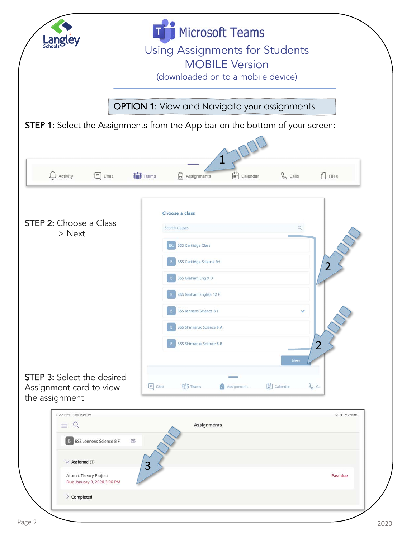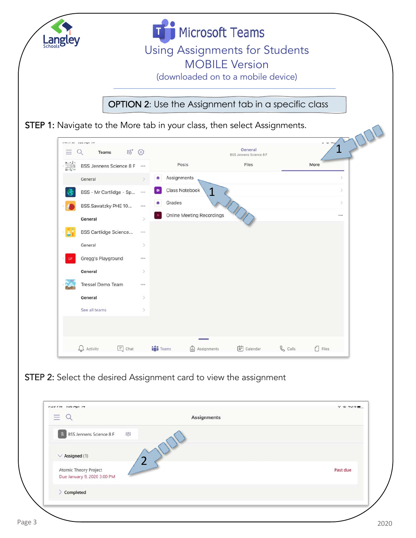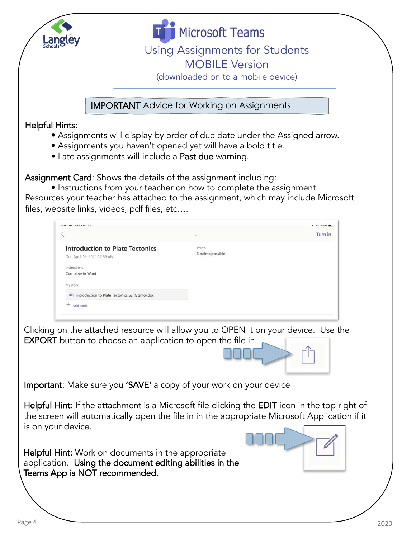



IMPORTANT Advice for Working on Assignments

## Helpful Hints:

- Assignments will display by order of due date under the Assigned arrow.
- Assignments you haven't opened yet will have a bold title.
- Late assignments will include a Past due warning.

Assignment Card: Shows the details of the assignment including:

• Instructions from your teacher on how to complete the assignment. Resources your teacher has attached to the assignment, which may include Microsoft files, website links, videos, pdf files, etc….

| TWW E-TEC - EMM PAPE AT                                                                                                                                                                                               |                             | $  -$   |
|-----------------------------------------------------------------------------------------------------------------------------------------------------------------------------------------------------------------------|-----------------------------|---------|
|                                                                                                                                                                                                                       |                             | Turn in |
| <b>Introduction to Plate Tectonics</b><br>Due April 16, 2020 12:59 AM<br>Instructions<br>Complete in Word<br>My work                                                                                                  | Points<br>3 points possible |         |
| Introduction to Plate Tectonics SE (Gizmo).doc                                                                                                                                                                        |                             |         |
| $+$ Add work                                                                                                                                                                                                          |                             |         |
| <b>Important:</b> Make sure you 'SAVE' a copy of your work on your device                                                                                                                                             |                             |         |
|                                                                                                                                                                                                                       |                             |         |
| Helpful Hint: If the attachment is a Microsoft file clicking the EDIT icon in the top right of<br>the screen will automatically open the file in in the appropriate Microsoft Application if it<br>is on your device. |                             |         |
| Helpful Hint: Work on documents in the appropriate<br>application. Using the document editing abilities in the<br>Teams App is NOT recommended.                                                                       |                             |         |
|                                                                                                                                                                                                                       |                             |         |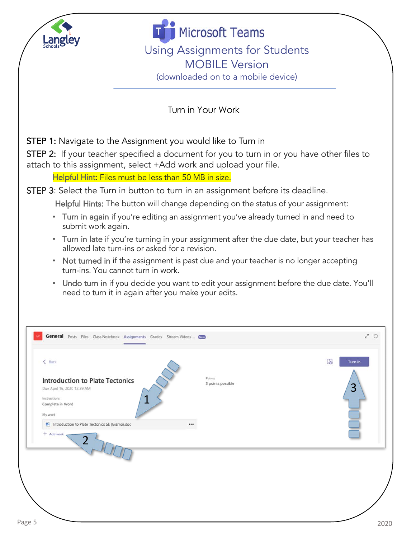

**Microsoft Teams** Using Assignments for Students MOBILE Version (downloaded on to a mobile device)

Turn in Your Work

STEP 1: Navigate to the Assignment you would like to Turn in

STEP 2: If your teacher specified a document for you to turn in or you have other files to attach to this assignment, select +Add work and upload your file.

Helpful Hint: Files must be less than 50 MB in size.

STEP 3: Select the Turn in button to turn in an assignment before its deadline.

Helpful Hints: The button will change depending on the status of your assignment:

- Turn in again if you're editing an assignment you've already turned in and need to submit work again.
- Turn in late if you're turning in your assignment after the due date, but your teacher has allowed late turn-ins or asked for a revision.
- Not turned in if the assignment is past due and your teacher is no longer accepting turn-ins. You cannot turn in work.
- Undo turn in if you decide you want to edit your assignment before the due date. You'll need to turn it in again after you make your edits.